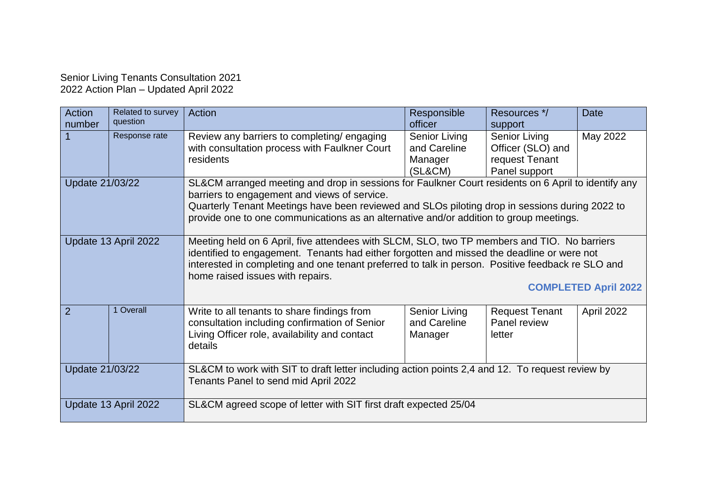## Senior Living Tenants Consultation 2021 2022 Action Plan – Updated April 2022

| Action<br>number     | Related to survey<br>question | Action                                                                                                                                                                                                                                                                                                                                                            | Responsible<br>officer                                     | Resources */<br>support                                                      | <b>Date</b> |  |
|----------------------|-------------------------------|-------------------------------------------------------------------------------------------------------------------------------------------------------------------------------------------------------------------------------------------------------------------------------------------------------------------------------------------------------------------|------------------------------------------------------------|------------------------------------------------------------------------------|-------------|--|
|                      | Response rate                 | Review any barriers to completing/engaging<br>with consultation process with Faulkner Court<br>residents                                                                                                                                                                                                                                                          | <b>Senior Living</b><br>and Careline<br>Manager<br>(SL&CM) | <b>Senior Living</b><br>Officer (SLO) and<br>request Tenant<br>Panel support | May 2022    |  |
| Update 21/03/22      |                               | SL&CM arranged meeting and drop in sessions for Faulkner Court residents on 6 April to identify any<br>barriers to engagement and views of service.<br>Quarterly Tenant Meetings have been reviewed and SLOs piloting drop in sessions during 2022 to<br>provide one to one communications as an alternative and/or addition to group meetings.                   |                                                            |                                                                              |             |  |
| Update 13 April 2022 |                               | Meeting held on 6 April, five attendees with SLCM, SLO, two TP members and TIO. No barriers<br>identified to engagement. Tenants had either forgotten and missed the deadline or were not<br>interested in completing and one tenant preferred to talk in person. Positive feedback re SLO and<br>home raised issues with repairs.<br><b>COMPLETED April 2022</b> |                                                            |                                                                              |             |  |
| 2                    | 1 Overall                     | Write to all tenants to share findings from<br>consultation including confirmation of Senior<br>Living Officer role, availability and contact<br>details                                                                                                                                                                                                          | <b>Senior Living</b><br>and Careline<br>Manager            | <b>Request Tenant</b><br>Panel review<br>letter                              | April 2022  |  |
| Update 21/03/22      |                               | SL&CM to work with SIT to draft letter including action points 2,4 and 12. To request review by<br>Tenants Panel to send mid April 2022                                                                                                                                                                                                                           |                                                            |                                                                              |             |  |
| Update 13 April 2022 |                               | SL&CM agreed scope of letter with SIT first draft expected 25/04                                                                                                                                                                                                                                                                                                  |                                                            |                                                                              |             |  |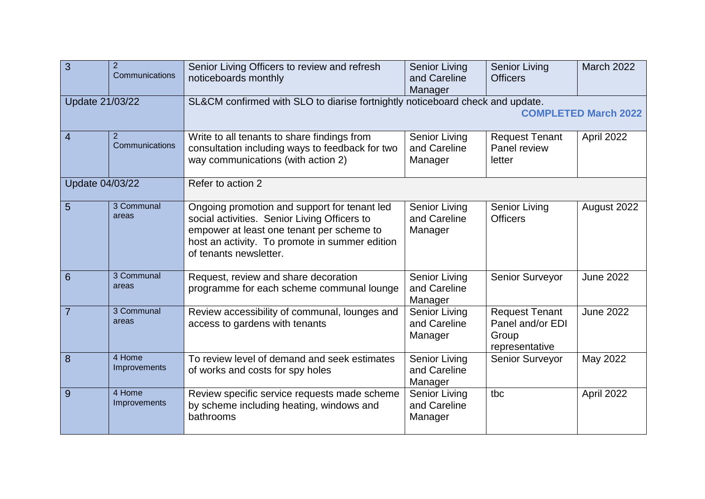| 3               | $\overline{2}$<br>Communications | Senior Living Officers to review and refresh<br>noticeboards monthly                                                                                                                                                  | <b>Senior Living</b><br>and Careline<br>Manager | <b>Senior Living</b><br><b>Officers</b>                              | <b>March 2022</b> |  |
|-----------------|----------------------------------|-----------------------------------------------------------------------------------------------------------------------------------------------------------------------------------------------------------------------|-------------------------------------------------|----------------------------------------------------------------------|-------------------|--|
| Update 21/03/22 |                                  | SL&CM confirmed with SLO to diarise fortnightly noticeboard check and update.<br><b>COMPLETED March 2022</b>                                                                                                          |                                                 |                                                                      |                   |  |
| $\overline{4}$  | 2<br>Communications              | Write to all tenants to share findings from<br>consultation including ways to feedback for two<br>way communications (with action 2)                                                                                  | Senior Living<br>and Careline<br>Manager        | <b>Request Tenant</b><br>Panel review<br>letter                      | April 2022        |  |
| Update 04/03/22 |                                  | Refer to action 2                                                                                                                                                                                                     |                                                 |                                                                      |                   |  |
| 5               | 3 Communal<br>areas              | Ongoing promotion and support for tenant led<br>social activities. Senior Living Officers to<br>empower at least one tenant per scheme to<br>host an activity. To promote in summer edition<br>of tenants newsletter. | <b>Senior Living</b><br>and Careline<br>Manager | Senior Living<br><b>Officers</b>                                     | August 2022       |  |
| 6               | 3 Communal<br>areas              | Request, review and share decoration<br>programme for each scheme communal lounge                                                                                                                                     | <b>Senior Living</b><br>and Careline<br>Manager | Senior Surveyor                                                      | <b>June 2022</b>  |  |
| $\overline{7}$  | 3 Communal<br>areas              | Review accessibility of communal, lounges and<br>access to gardens with tenants                                                                                                                                       | <b>Senior Living</b><br>and Careline<br>Manager | <b>Request Tenant</b><br>Panel and/or EDI<br>Group<br>representative | <b>June 2022</b>  |  |
| 8               | 4 Home<br>Improvements           | To review level of demand and seek estimates<br>of works and costs for spy holes                                                                                                                                      | Senior Living<br>and Careline<br>Manager        | Senior Surveyor                                                      | May 2022          |  |
| 9               | 4 Home<br>Improvements           | Review specific service requests made scheme<br>by scheme including heating, windows and<br>bathrooms                                                                                                                 | <b>Senior Living</b><br>and Careline<br>Manager | tbc                                                                  | April 2022        |  |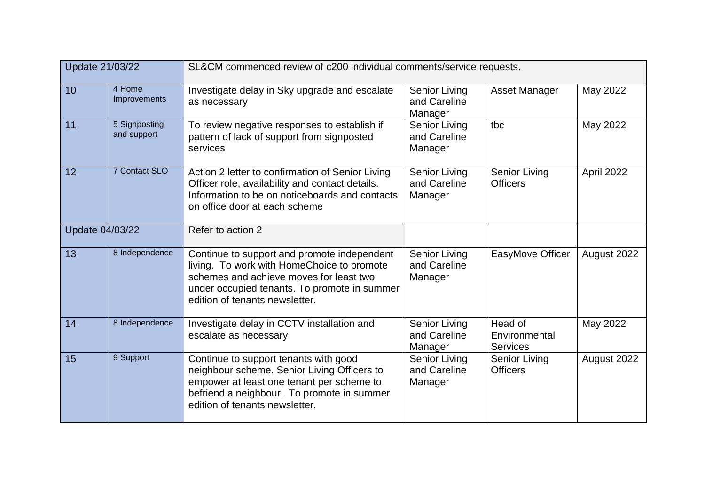| Update 21/03/22 |                              | SL&CM commenced review of c200 individual comments/service requests.                                                                                                                                                   |                                                 |                                             |             |  |
|-----------------|------------------------------|------------------------------------------------------------------------------------------------------------------------------------------------------------------------------------------------------------------------|-------------------------------------------------|---------------------------------------------|-------------|--|
| 10              | 4 Home<br>Improvements       | Investigate delay in Sky upgrade and escalate<br>as necessary                                                                                                                                                          | <b>Senior Living</b><br>and Careline<br>Manager | Asset Manager                               | May 2022    |  |
| 11              | 5 Signposting<br>and support | To review negative responses to establish if<br>pattern of lack of support from signposted<br>services                                                                                                                 | <b>Senior Living</b><br>and Careline<br>Manager | tbc                                         | May 2022    |  |
| 12              | 7 Contact SLO                | Action 2 letter to confirmation of Senior Living<br>Officer role, availability and contact details.<br>Information to be on noticeboards and contacts<br>on office door at each scheme                                 | <b>Senior Living</b><br>and Careline<br>Manager | Senior Living<br><b>Officers</b>            | April 2022  |  |
| Update 04/03/22 |                              | Refer to action 2                                                                                                                                                                                                      |                                                 |                                             |             |  |
| 13              | 8 Independence               | Continue to support and promote independent<br>living. To work with HomeChoice to promote<br>schemes and achieve moves for least two<br>under occupied tenants. To promote in summer<br>edition of tenants newsletter. | <b>Senior Living</b><br>and Careline<br>Manager | EasyMove Officer                            | August 2022 |  |
| 14              | 8 Independence               | Investigate delay in CCTV installation and<br>escalate as necessary                                                                                                                                                    | <b>Senior Living</b><br>and Careline<br>Manager | Head of<br>Environmental<br><b>Services</b> | May 2022    |  |
| 15              | 9 Support                    | Continue to support tenants with good<br>neighbour scheme. Senior Living Officers to<br>empower at least one tenant per scheme to<br>befriend a neighbour. To promote in summer<br>edition of tenants newsletter.      | <b>Senior Living</b><br>and Careline<br>Manager | <b>Senior Living</b><br><b>Officers</b>     | August 2022 |  |